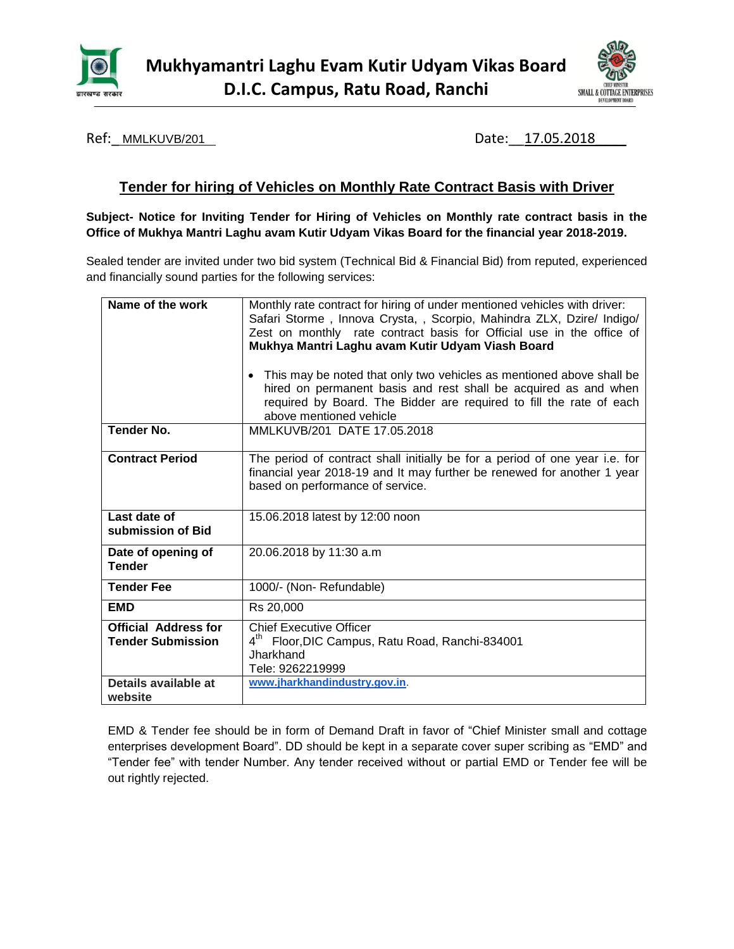



Ref: MMLKUVB/201 2012 2012 2013 2014 2020 2031 2040: Date: 17.05.2018

# **Tender for hiring of Vehicles on Monthly Rate Contract Basis with Driver**

**Subject- Notice for Inviting Tender for Hiring of Vehicles on Monthly rate contract basis in the Office of Mukhya Mantri Laghu avam Kutir Udyam Vikas Board for the financial year 2018-2019.**

Sealed tender are invited under two bid system (Technical Bid & Financial Bid) from reputed, experienced and financially sound parties for the following services:

| Name of the work                                        | Monthly rate contract for hiring of under mentioned vehicles with driver:<br>Safari Storme, Innova Crysta,, Scorpio, Mahindra ZLX, Dzire/ Indigo/<br>Zest on monthly rate contract basis for Official use in the office of<br>Mukhya Mantri Laghu avam Kutir Udyam Viash Board<br>This may be noted that only two vehicles as mentioned above shall be<br>$\bullet$ |  |  |  |  |
|---------------------------------------------------------|---------------------------------------------------------------------------------------------------------------------------------------------------------------------------------------------------------------------------------------------------------------------------------------------------------------------------------------------------------------------|--|--|--|--|
|                                                         | hired on permanent basis and rest shall be acquired as and when<br>required by Board. The Bidder are required to fill the rate of each<br>above mentioned vehicle                                                                                                                                                                                                   |  |  |  |  |
| <b>Tender No.</b>                                       | MMLKUVB/201 DATE 17.05.2018                                                                                                                                                                                                                                                                                                                                         |  |  |  |  |
| <b>Contract Period</b>                                  | The period of contract shall initially be for a period of one year i.e. for<br>financial year 2018-19 and It may further be renewed for another 1 year<br>based on performance of service.                                                                                                                                                                          |  |  |  |  |
| Last date of<br>submission of Bid                       | 15.06.2018 latest by 12:00 noon                                                                                                                                                                                                                                                                                                                                     |  |  |  |  |
| Date of opening of<br><b>Tender</b>                     | 20.06.2018 by 11:30 a.m                                                                                                                                                                                                                                                                                                                                             |  |  |  |  |
| <b>Tender Fee</b>                                       | 1000/- (Non- Refundable)                                                                                                                                                                                                                                                                                                                                            |  |  |  |  |
| <b>EMD</b>                                              | Rs 20,000                                                                                                                                                                                                                                                                                                                                                           |  |  |  |  |
| <b>Official Address for</b><br><b>Tender Submission</b> | <b>Chief Executive Officer</b><br>4 <sup>th</sup> Floor, DIC Campus, Ratu Road, Ranchi-834001<br>Jharkhand<br>Tele: 9262219999                                                                                                                                                                                                                                      |  |  |  |  |
| Details available at<br>website                         | www.jharkhandindustry.gov.in.                                                                                                                                                                                                                                                                                                                                       |  |  |  |  |

EMD & Tender fee should be in form of Demand Draft in favor of "Chief Minister small and cottage enterprises development Board". DD should be kept in a separate cover super scribing as "EMD" and "Tender fee" with tender Number. Any tender received without or partial EMD or Tender fee will be out rightly rejected.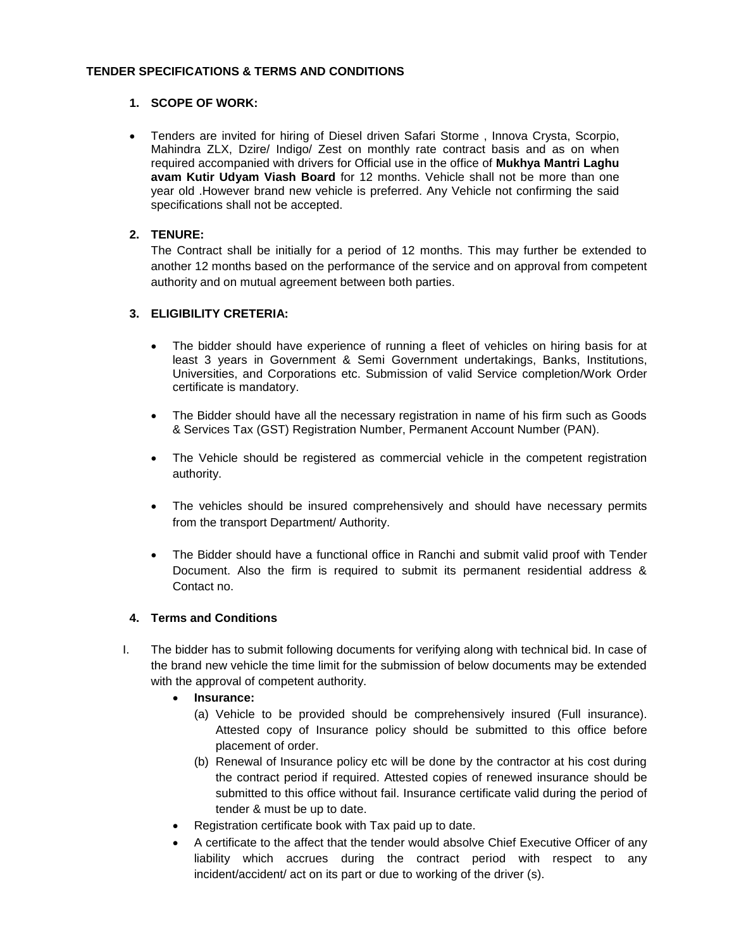#### **TENDER SPECIFICATIONS & TERMS AND CONDITIONS**

#### **1. SCOPE OF WORK:**

 Tenders are invited for hiring of Diesel driven Safari Storme , Innova Crysta, Scorpio, Mahindra ZLX, Dzire/ Indigo/ Zest on monthly rate contract basis and as on when required accompanied with drivers for Official use in the office of **Mukhya Mantri Laghu avam Kutir Udyam Viash Board** for 12 months. Vehicle shall not be more than one year old .However brand new vehicle is preferred. Any Vehicle not confirming the said specifications shall not be accepted.

#### **2. TENURE:**

The Contract shall be initially for a period of 12 months. This may further be extended to another 12 months based on the performance of the service and on approval from competent authority and on mutual agreement between both parties.

### **3. ELIGIBILITY CRETERIA:**

- The bidder should have experience of running a fleet of vehicles on hiring basis for at least 3 years in Government & Semi Government undertakings, Banks, Institutions, Universities, and Corporations etc. Submission of valid Service completion/Work Order certificate is mandatory.
- The Bidder should have all the necessary registration in name of his firm such as Goods & Services Tax (GST) Registration Number, Permanent Account Number (PAN).
- The Vehicle should be registered as commercial vehicle in the competent registration authority.
- The vehicles should be insured comprehensively and should have necessary permits from the transport Department/ Authority.
- The Bidder should have a functional office in Ranchi and submit valid proof with Tender Document. Also the firm is required to submit its permanent residential address & Contact no.

### **4. Terms and Conditions**

- I. The bidder has to submit following documents for verifying along with technical bid. In case of the brand new vehicle the time limit for the submission of below documents may be extended with the approval of competent authority.
	- **Insurance:**
		- (a) Vehicle to be provided should be comprehensively insured (Full insurance). Attested copy of Insurance policy should be submitted to this office before placement of order.
		- (b) Renewal of Insurance policy etc will be done by the contractor at his cost during the contract period if required. Attested copies of renewed insurance should be submitted to this office without fail. Insurance certificate valid during the period of tender & must be up to date.
	- Registration certificate book with Tax paid up to date.
	- A certificate to the affect that the tender would absolve Chief Executive Officer of any liability which accrues during the contract period with respect to any incident/accident/ act on its part or due to working of the driver (s).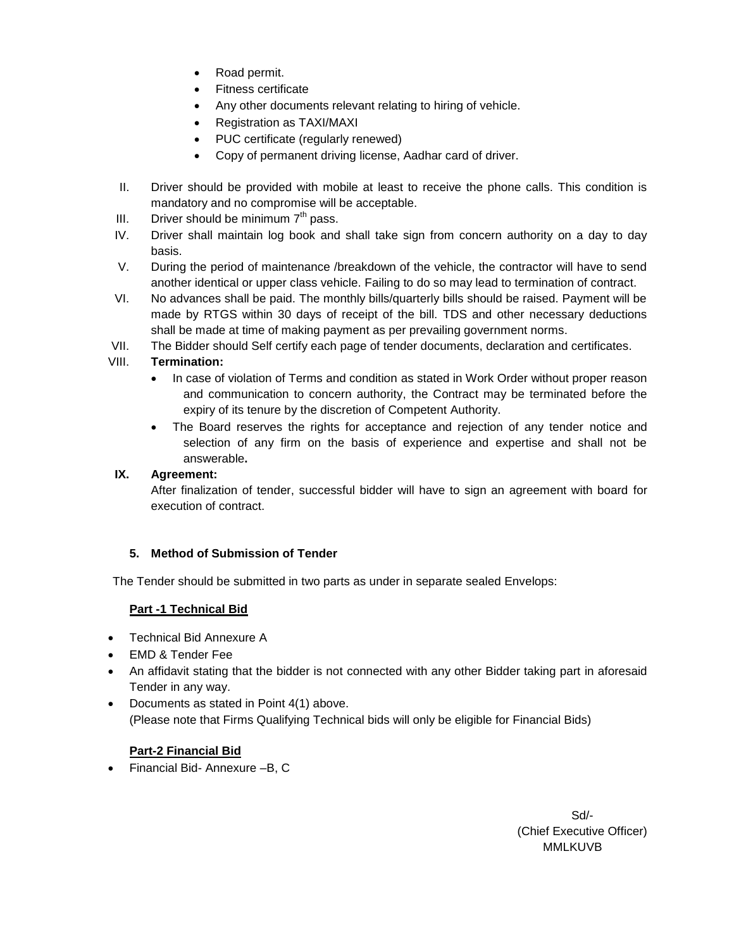- Road permit.
- Fitness certificate
- Any other documents relevant relating to hiring of vehicle.
- Registration as TAXI/MAXI
- PUC certificate (regularly renewed)
- Copy of permanent driving license, Aadhar card of driver.
- II. Driver should be provided with mobile at least to receive the phone calls. This condition is mandatory and no compromise will be acceptable.
- III. Driver should be minimum  $7<sup>th</sup>$  pass.
- IV. Driver shall maintain log book and shall take sign from concern authority on a day to day basis.
- V. During the period of maintenance /breakdown of the vehicle, the contractor will have to send another identical or upper class vehicle. Failing to do so may lead to termination of contract.
- VI. No advances shall be paid. The monthly bills/quarterly bills should be raised. Payment will be made by RTGS within 30 days of receipt of the bill. TDS and other necessary deductions shall be made at time of making payment as per prevailing government norms.
- VII. The Bidder should Self certify each page of tender documents, declaration and certificates.

# VIII. **Termination:**

- In case of violation of Terms and condition as stated in Work Order without proper reason and communication to concern authority, the Contract may be terminated before the expiry of its tenure by the discretion of Competent Authority.
- The Board reserves the rights for acceptance and rejection of any tender notice and selection of any firm on the basis of experience and expertise and shall not be answerable**.**

# **IX. Agreement:**

After finalization of tender, successful bidder will have to sign an agreement with board for execution of contract.

### **5. Method of Submission of Tender**

The Tender should be submitted in two parts as under in separate sealed Envelops:

### **Part -1 Technical Bid**

- Technical Bid Annexure A
- EMD & Tender Fee
- An affidavit stating that the bidder is not connected with any other Bidder taking part in aforesaid Tender in any way.
- Documents as stated in Point 4(1) above. (Please note that Firms Qualifying Technical bids will only be eligible for Financial Bids)

### **Part-2 Financial Bid**

Financial Bid- Annexure –B, C

Sd/- (Chief Executive Officer) MMLKUVB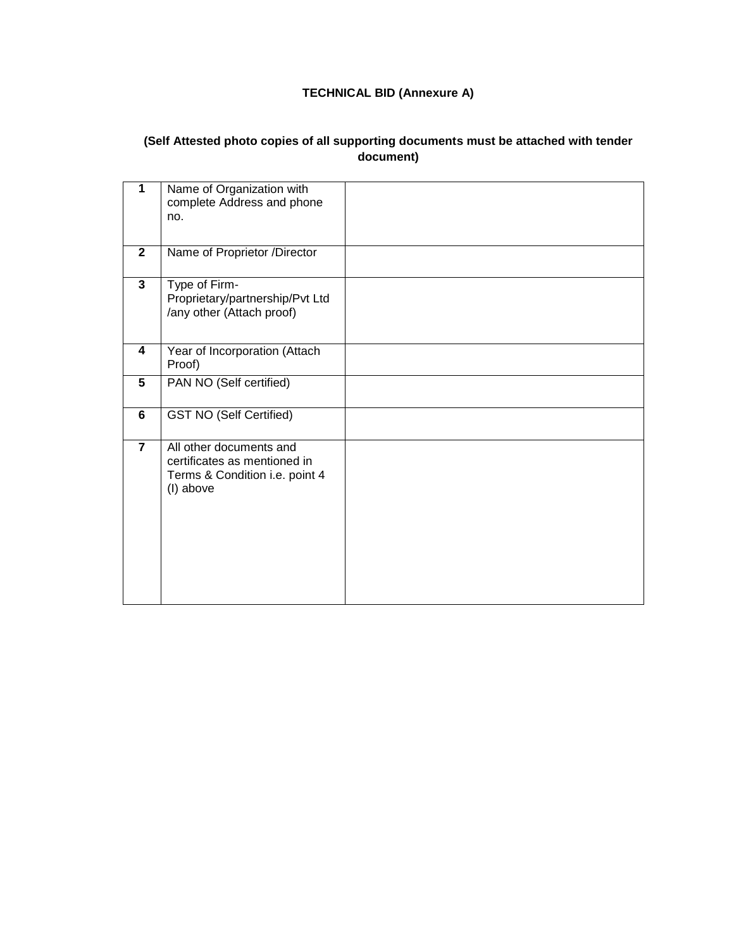# **TECHNICAL BID (Annexure A)**

# **(Self Attested photo copies of all supporting documents must be attached with tender document)**

| 1              | Name of Organization with<br>complete Address and phone<br>no.                                         |  |
|----------------|--------------------------------------------------------------------------------------------------------|--|
| $\overline{2}$ | Name of Proprietor /Director                                                                           |  |
| $\mathbf{3}$   | Type of Firm-<br>Proprietary/partnership/Pvt Ltd<br>/any other (Attach proof)                          |  |
| 4              | Year of Incorporation (Attach<br>Proof)                                                                |  |
| 5              | PAN NO (Self certified)                                                                                |  |
| 6              | <b>GST NO (Self Certified)</b>                                                                         |  |
| $\overline{7}$ | All other documents and<br>certificates as mentioned in<br>Terms & Condition i.e. point 4<br>(I) above |  |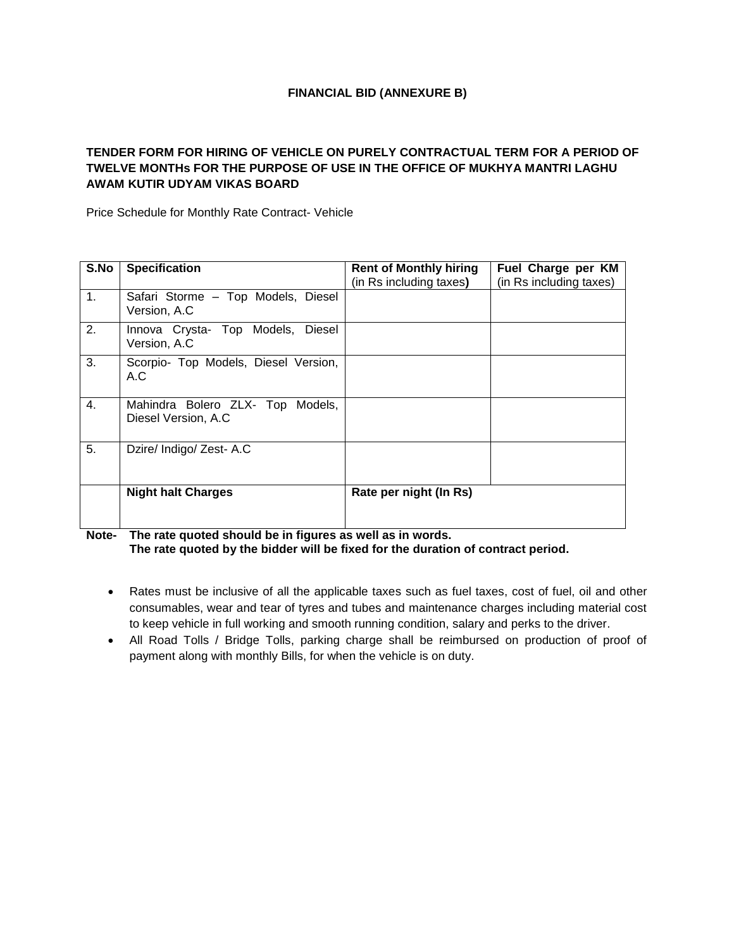### **FINANCIAL BID (ANNEXURE B)**

### **TENDER FORM FOR HIRING OF VEHICLE ON PURELY CONTRACTUAL TERM FOR A PERIOD OF TWELVE MONTHs FOR THE PURPOSE OF USE IN THE OFFICE OF MUKHYA MANTRI LAGHU AWAM KUTIR UDYAM VIKAS BOARD**

Price Schedule for Monthly Rate Contract- Vehicle

| S.No | <b>Specification</b>                                         | <b>Rent of Monthly hiring</b><br>(in Rs including taxes) | Fuel Charge per KM<br>(in Rs including taxes) |
|------|--------------------------------------------------------------|----------------------------------------------------------|-----------------------------------------------|
| 1.   | Safari Storme - Top Models, Diesel<br>Version, A.C.          |                                                          |                                               |
| 2.   | <b>Diesel</b><br>Innova Crysta- Top Models,<br>Version, A.C. |                                                          |                                               |
| 3.   | Scorpio- Top Models, Diesel Version,<br>A.C                  |                                                          |                                               |
| 4.   | Mahindra Bolero ZLX- Top<br>Models,<br>Diesel Version, A.C.  |                                                          |                                               |
| 5.   | Dzire/ Indigo/ Zest- A.C                                     |                                                          |                                               |
|      | <b>Night halt Charges</b>                                    | Rate per night (In Rs)                                   |                                               |

**Note- The rate quoted should be in figures as well as in words. The rate quoted by the bidder will be fixed for the duration of contract period.**

- Rates must be inclusive of all the applicable taxes such as fuel taxes, cost of fuel, oil and other consumables, wear and tear of tyres and tubes and maintenance charges including material cost to keep vehicle in full working and smooth running condition, salary and perks to the driver.
- All Road Tolls / Bridge Tolls, parking charge shall be reimbursed on production of proof of payment along with monthly Bills, for when the vehicle is on duty.